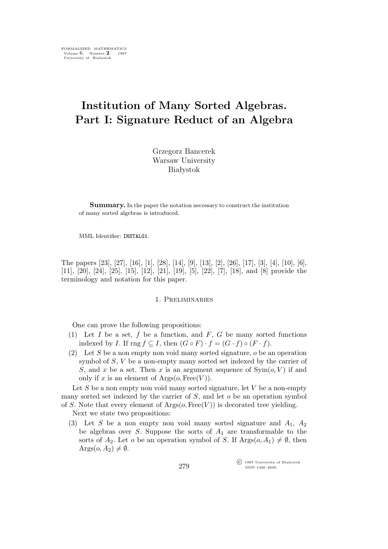# **Institution of Many Sorted Algebras. Part I: Signature Reduct of an Algebra**

Grzegorz Bancerek Warsaw University Białystok

**Summary.** In the paper the notation necessary to construct the institution of many sorted algebras is introduced.

MML Identifier: INSTALG1.

The papers [23], [27], [16], [1], [28], [14], [9], [13], [2], [26], [17], [3], [4], [10], [6], [11], [20], [24], [25], [15], [12], [21], [19], [5], [22], [7], [18], and [8] provide the terminology and notation for this paper.

#### 1. Preliminaries

One can prove the following propositions:

- (1) Let  $I$  be a set,  $f$  be a function, and  $F$ ,  $G$  be many sorted functions indexed by *I*. If  $\text{rng } f \subseteq I$ , then  $(G \circ F) \cdot f = (G \cdot f) \circ (F \cdot f)$ .
- (2) Let S be a non empty non void many sorted signature,  $o$  be an operation symbol of S, V be a non-empty many sorted set indexed by the carrier of S, and x be a set. Then x is an argument sequence of  $Sym(o, V)$  if and only if x is an element of  $\text{Arg}(o, \text{Free}(V))$ .

Let  $S$  be a non empty non void many sorted signature, let  $V$  be a non-empty many sorted set indexed by the carrier of  $S$ , and let  $o$  be an operation symbol of S. Note that every element of  $Args(o, Free(V))$  is decorated tree yielding.

Next we state two propositions:

(3) Let S be a non empty non void many sorted signature and  $A_1$ ,  $A_2$ be algebras over S. Suppose the sorts of  $A_1$  are transformable to the sorts of  $A_2$ . Let *o* be an operation symbol of *S*. If  $\text{Arg}(o, A_1) \neq \emptyset$ , then  $\text{Args}(o, A_2) \neq \emptyset$ .

> $\widehat{\mathbb{C}}$  1997 University of Białystok ISSN 1426–2630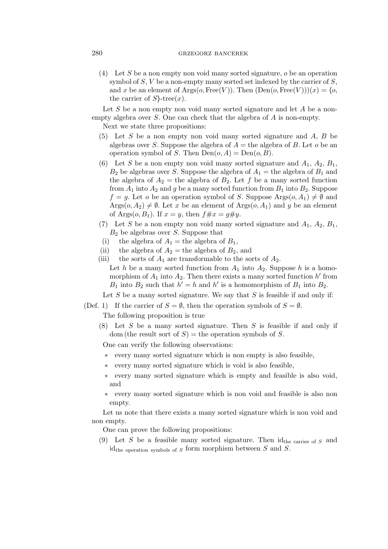# 280 grzegorz bancerek

(4) Let S be a non empty non void many sorted signature,  $o$  be an operation symbol of  $S$ ,  $V$  be a non-empty many sorted set indexed by the carrier of  $S$ , and x be an element of Args( $o$ , Free(V)). Then  $(Den(o, Free(V)))(x) = \langle o,$ the carrier of  $S$ }-tree $(x)$ .

Let S be a non empty non void many sorted signature and let A be a nonempty algebra over S. One can check that the algebra of A is non-empty.

Next we state three propositions:

- (5) Let  $S$  be a non empty non void many sorted signature and  $A, B$  be algebras over S. Suppose the algebra of  $A =$  the algebra of B. Let o be an operation symbol of S. Then  $Den(o, A) = Den(o, B)$ .
- (6) Let S be a non empty non void many sorted signature and  $A_1$ ,  $A_2$ ,  $B_1$ ,  $B_2$  be algebras over S. Suppose the algebra of  $A_1$  = the algebra of  $B_1$  and the algebra of  $A_2$  = the algebra of  $B_2$ . Let f be a many sorted function from  $A_1$  into  $A_2$  and g be a many sorted function from  $B_1$  into  $B_2$ . Suppose  $f = q$ . Let o be an operation symbol of S. Suppose Args $(o, A_1) \neq \emptyset$  and  $Args(o, A_2) \neq \emptyset$ . Let x be an element of  $Args(o, A_1)$  and y be an element of Args $(o, B_1)$ . If  $x = y$ , then  $f \# x = g \# y$ .
- (7) Let S be a non empty non void many sorted signature and  $A_1$ ,  $A_2$ ,  $B_1$ ,  $B_2$  be algebras over S. Suppose that
- (i) the algebra of  $A_1$  = the algebra of  $B_1$ ,
- (ii) the algebra of  $A_2$  = the algebra of  $B_2$ , and
- (iii) the sorts of  $A_1$  are transformable to the sorts of  $A_2$ . Let h be a many sorted function from  $A_1$  into  $A_2$ . Suppose h is a homomorphism of  $A_1$  into  $A_2$ . Then there exists a many sorted function h' from  $B_1$  into  $B_2$  such that  $h' = h$  and  $h'$  is a homomorphism of  $B_1$  into  $B_2$ .

Let  $S$  be a many sorted signature. We say that  $S$  is feasible if and only if:

(Def. 1) If the carrier of  $S = \emptyset$ , then the operation symbols of  $S = \emptyset$ .

The following proposition is true

 $(8)$  Let S be a many sorted signature. Then S is feasible if and only if  $dom$  (the result sort of  $S$ ) = the operation symbols of S.

One can verify the following observations:

- *∗* every many sorted signature which is non empty is also feasible,
- *∗* every many sorted signature which is void is also feasible,
- *∗* every many sorted signature which is empty and feasible is also void, and
- *∗* every many sorted signature which is non void and feasible is also non empty.

Let us note that there exists a many sorted signature which is non void and non empty.

One can prove the following propositions:

(9) Let S be a feasible many sorted signature. Then  $id_{the \text{ carrier of } S}$  and id<sub>the operation</sub> symbols of  $S$  form morphism between  $S$  and  $S$ .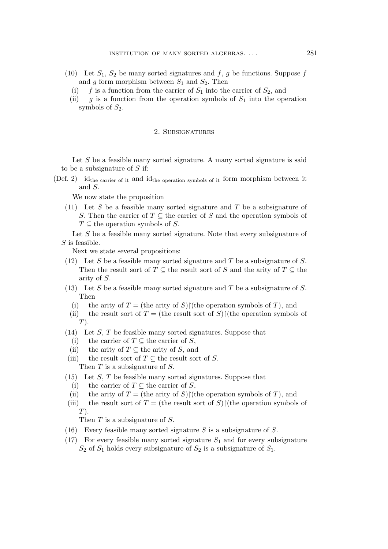- (10) Let  $S_1$ ,  $S_2$  be many sorted signatures and f, g be functions. Suppose f and g form morphism between  $S_1$  and  $S_2$ . Then
	- (i) f is a function from the carrier of  $S_1$  into the carrier of  $S_2$ , and
	- (ii) g is a function from the operation symbols of  $S_1$  into the operation symbols of  $S_2$ .

#### 2. Subsignatures

Let  $S$  be a feasible many sorted signature. A many sorted signature is said to be a subsignature of  $S$  if:

(Def. 2) idthe carrier of it and idthe operation symbols of it form morphism between it and S.

We now state the proposition

(11) Let S be a feasible many sorted signature and T be a subsignature of S. Then the carrier of  $T \subseteq$  the carrier of S and the operation symbols of  $T \subseteq$  the operation symbols of S.

Let S be a feasible many sorted signature. Note that every subsignature of S is feasible.

Next we state several propositions:

- (12) Let S be a feasible many sorted signature and T be a subsignature of S. Then the result sort of  $T \subseteq$  the result sort of S and the arity of  $T \subseteq$  the arity of S.
- (13) Let S be a feasible many sorted signature and T be a subsignature of S. Then
	- (i) the arity of  $T =$  (the arity of S) $\restriction$ (the operation symbols of T), and
	- (ii) the result sort of  $T =$  (the result sort of S) $\restriction$ (the operation symbols of  $T$ ).
- $(14)$  Let S, T be feasible many sorted signatures. Suppose that
	- (i) the carrier of  $T \subseteq$  the carrier of S,
- (ii) the arity of  $T \subseteq$  the arity of S, and
- (iii) the result sort of  $T \subseteq$  the result sort of S. Then  $T$  is a subsignature of  $S$ .
- $(15)$  Let S, T be feasible many sorted signatures. Suppose that
	- (i) the carrier of  $T \subseteq$  the carrier of S,
- (ii) the arity of  $T =$  (the arity of S) $\restriction$ (the operation symbols of T), and
- (iii) the result sort of  $T =$  (the result sort of S) $\restriction$ (the operation symbols of  $T$ ).

Then T is a subsignature of S.

- (16) Every feasible many sorted signature S is a subsignature of S.
- (17) For every feasible many sorted signature  $S_1$  and for every subsignature  $S_2$  of  $S_1$  holds every subsignature of  $S_2$  is a subsignature of  $S_1$ .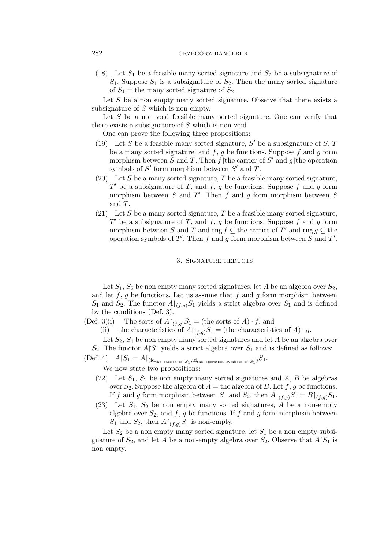# 282 grzegorz bancerek

(18) Let  $S_1$  be a feasible many sorted signature and  $S_2$  be a subsignature of  $S_1$ . Suppose  $S_1$  is a subsignature of  $S_2$ . Then the many sorted signature of  $S_1$  = the many sorted signature of  $S_2$ .

Let  $S$  be a non empty many sorted signature. Observe that there exists a subsignature of S which is non empty.

Let S be a non void feasible many sorted signature. One can verify that there exists a subsignature of  $S$  which is non void.

One can prove the following three propositions:

- (19) Let S be a feasible many sorted signature,  $S'$  be a subsignature of S, T be a many sorted signature, and  $f, g$  be functions. Suppose  $f$  and  $g$  form morphism between S and T. Then f the carrier of S' and g|the operation symbols of S' form morphism between S' and T.
- (20) Let S be a many sorted signature, T be a feasible many sorted signature,  $T'$  be a subsignature of T, and f, g be functions. Suppose f and g form morphism between  $S$  and  $T'$ . Then  $f$  and  $g$  form morphism between  $S$ and T.
- (21) Let S be a many sorted signature, T be a feasible many sorted signature, T' be a subsignature of T, and f, g be functions. Suppose f and g form morphism between S and T and rng  $f \subseteq$  the carrier of T' and rng  $g \subseteq$  the operation symbols of T'. Then f and g form morphism between S and T'.

# 3. Signature reducts

Let  $S_1, S_2$  be non empty many sorted signatures, let A be an algebra over  $S_2$ , and let  $f, g$  be functions. Let us assume that  $f$  and  $g$  form morphism between  $S_1$  and  $S_2$ . The functor  $A\upharpoonright_{(f,g)} S_1$  yields a strict algebra over  $S_1$  and is defined by the conditions (Def. 3).

(Def. 3)(i) The sorts of  $A\upharpoonright_{(f,g)} S_1$  = (the sorts of A) *· f*, and

(ii) the characteristics of  $A\upharpoonright_{(f,q)}S_1$  = (the characteristics of A) *·* g.

Let  $S_2$ ,  $S_1$  be non empty many sorted signatures and let A be an algebra over  $S_2$ . The functor  $A \upharpoonright S_1$  yields a strict algebra over  $S_1$  and is defined as follows:

 $(\text{Def. 4}) \quad A \, | \, S_1 = A \, | \, _{(id_{the \text{ carrier of } S_1}, id_{the \text{ operation symbols of } S_1)} S_1.$ 

We now state two propositions:

- (22) Let  $S_1$ ,  $S_2$  be non empty many sorted signatures and  $A$ ,  $B$  be algebras over  $S_2$ . Suppose the algebra of  $A =$  the algebra of B. Let f, g be functions. If f and g form morphism between  $S_1$  and  $S_2$ , then  $A\upharpoonright_{(f,q)}S_1 = B\upharpoonright_{(f,q)}S_1$ .
- $(23)$  Let  $S_1$ ,  $S_2$  be non empty many sorted signatures, A be a non-empty algebra over  $S_2$ , and  $f$ ,  $g$  be functions. If  $f$  and  $g$  form morphism between  $S_1$  and  $S_2$ , then  $A\upharpoonright_{(f,g)} S_1$  is non-empty.

Let  $S_2$  be a non empty many sorted signature, let  $S_1$  be a non empty subsignature of  $S_2$ , and let A be a non-empty algebra over  $S_2$ . Observe that  $A \upharpoonright S_1$  is non-empty.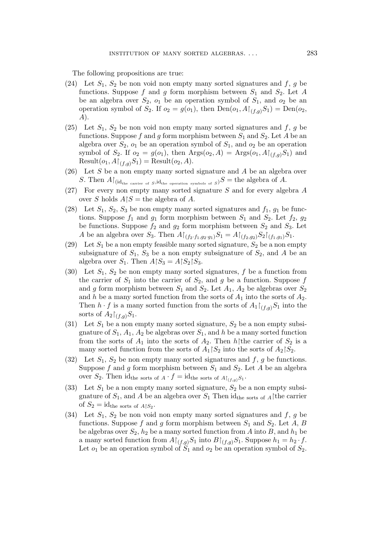The following propositions are true:

- (24) Let  $S_1$ ,  $S_2$  be non void non empty many sorted signatures and f, g be functions. Suppose f and g form morphism between  $S_1$  and  $S_2$ . Let A be an algebra over  $S_2$ ,  $o_1$  be an operation symbol of  $S_1$ , and  $o_2$  be an operation symbol of  $S_2$ . If  $o_2 = g(o_1)$ , then  $Den(o_1, A\upharpoonright_{(f,g)} S_1) = Den(o_2,$ A).
- (25) Let  $S_1$ ,  $S_2$  be non void non empty many sorted signatures and f, g be functions. Suppose f and g form morphism between  $S_1$  and  $S_2$ . Let A be an algebra over  $S_2$ ,  $o_1$  be an operation symbol of  $S_1$ , and  $o_2$  be an operation symbol of  $S_2$ . If  $o_2 = g(o_1)$ , then  $\text{Arg}(o_2, A) = \text{Arg}(o_1, A|_{(f, g)}S_1)$  and Result $(o_1, A \upharpoonright_{(f,g)} S_1) = \text{Result}(o_2, A).$
- $(26)$  Let S be a non empty many sorted signature and A be an algebra over S. Then  $A\upharpoonright_{(\text{id}_{\text{the carrier of } S}, \text{id}_{\text{the operation symbols of } S})} S = \text{the algebra of } A.$
- (27) For every non empty many sorted signature S and for every algebra A over S holds  $A \upharpoonright S =$  the algebra of A.
- (28) Let  $S_1$ ,  $S_2$ ,  $S_3$  be non empty many sorted signatures and  $f_1$ ,  $g_1$  be functions. Suppose  $f_1$  and  $g_1$  form morphism between  $S_1$  and  $S_2$ . Let  $f_2$ ,  $g_2$ be functions. Suppose  $f_2$  and  $g_2$  form morphism between  $S_2$  and  $S_3$ . Let A be an algebra over  $S_3$ . Then  $A\upharpoonright_{(f_2\cdot f_1,g_2\cdot g_1)} S_1 = A\upharpoonright_{(f_2,g_2)} S_2\upharpoonright_{(f_1,g_1)} S_1$ .
- (29) Let  $S_1$  be a non empty feasible many sorted signature,  $S_2$  be a non empty subsignature of  $S_1$ ,  $S_3$  be a non empty subsignature of  $S_2$ , and A be an algebra over  $S_1$ . Then  $A \upharpoonright S_3 = A \upharpoonright S_2 \upharpoonright S_3$ .
- (30) Let  $S_1$ ,  $S_2$  be non empty many sorted signatures, f be a function from the carrier of  $S_1$  into the carrier of  $S_2$ , and g be a function. Suppose f and g form morphism between  $S_1$  and  $S_2$ . Let  $A_1$ ,  $A_2$  be algebras over  $S_2$ and h be a many sorted function from the sorts of  $A_1$  into the sorts of  $A_2$ . Then  $h \cdot f$  is a many sorted function from the sorts of  $A_1 \upharpoonright_{(f,q)} S_1$  into the sorts of  $A_2 \upharpoonright_{(f,q)} S_1$ .
- (31) Let  $S_1$  be a non empty many sorted signature,  $S_2$  be a non empty subsignature of  $S_1$ ,  $A_1$ ,  $A_2$  be algebras over  $S_1$ , and h be a many sorted function from the sorts of  $A_1$  into the sorts of  $A_2$ . Then h $\uparrow$ the carrier of  $S_2$  is a many sorted function from the sorts of  $A_1 \upharpoonright S_2$  into the sorts of  $A_2 \upharpoonright S_2$ .
- (32) Let  $S_1$ ,  $S_2$  be non empty many sorted signatures and f, g be functions. Suppose f and g form morphism between  $S_1$  and  $S_2$ . Let A be an algebra over  $S_2$ . Then id<sub>the sorts of  $A \cdot f = id_{\text{the sorts of } A \upharpoonright_{(f,g)} S_1}$ .</sub>
- (33) Let  $S_1$  be a non empty many sorted signature,  $S_2$  be a non empty subsignature of  $S_1$ , and A be an algebra over  $S_1$  Then id<sub>the sorts of A</sub> $\uparrow$ the carrier of  $S_2 = \text{id}_{\text{the sorts of }A\upharpoonright S_2}.$
- (34) Let  $S_1$ ,  $S_2$  be non void non empty many sorted signatures and f, g be functions. Suppose f and g form morphism between  $S_1$  and  $S_2$ . Let A, B be algebras over  $S_2$ ,  $h_2$  be a many sorted function from A into B, and  $h_1$  be a many sorted function from  $A\upharpoonright_{(f,g)}S_1$  into  $B\upharpoonright_{(f,g)}S_1$ . Suppose  $h_1 = h_2 \cdot f$ . Let  $o_1$  be an operation symbol of  $S_1$  and  $o_2$  be an operation symbol of  $S_2$ .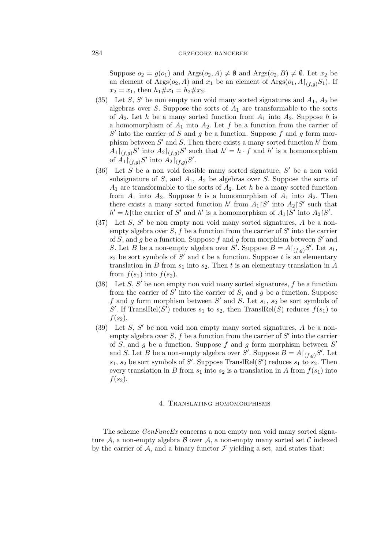## 284 GRZEGORZ BANCEREK

Suppose  $o_2 = g(o_1)$  and  $\text{Arg}(o_2, A) \neq \emptyset$  and  $\text{Arg}(o_2, B) \neq \emptyset$ . Let  $x_2$  be an element of Args $(o_2, A)$  and  $x_1$  be an element of Args $(o_1, A \upharpoonright_{(f,q)} S_1)$ . If  $x_2 = x_1$ , then  $h_1 \# x_1 = h_2 \# x_2$ .

- (35) Let  $S$ ,  $S'$  be non empty non void many sorted signatures and  $A_1$ ,  $A_2$  be algebras over  $S$ . Suppose the sorts of  $A_1$  are transformable to the sorts of  $A_2$ . Let h be a many sorted function from  $A_1$  into  $A_2$ . Suppose h is a homomorphism of  $A_1$  into  $A_2$ . Let f be a function from the carrier of  $S'$  into the carrier of  $S$  and  $g$  be a function. Suppose  $f$  and  $g$  form morphism between  $S'$  and  $S$ . Then there exists a many sorted function  $h'$  from  $A_1\upharpoonright_{(f,g)}S'$  into  $A_2\upharpoonright_{(f,g)}S'$  such that  $h'=h\cdot f$  and  $h'$  is a homomorphism of  $A_1 \upharpoonright_{(f,g)} S'$  into  $A_2 \upharpoonright_{(f,g)} S'$ .
- (36) Let S be a non void feasible many sorted signature, S *′* be a non void subsignature of  $S$ , and  $A_1$ ,  $A_2$  be algebras over  $S$ . Suppose the sorts of  $A_1$  are transformable to the sorts of  $A_2$ . Let h be a many sorted function from  $A_1$  into  $A_2$ . Suppose h is a homomorphism of  $A_1$  into  $A_2$ . Then there exists a many sorted function h' from  $A_1 \upharpoonright S'$  into  $A_2 \upharpoonright S'$  such that  $h' = h$ <sup> $\uparrow$ </sup>the carrier of S' and h' is a homomorphism of  $A_1 \upharpoonright S'$  into  $A_2 \upharpoonright S'$ .
- (37) Let S, S *′* be non empty non void many sorted signatures, A be a nonempty algebra over  $S, f$  be a function from the carrier of  $S'$  into the carrier of  $S$ , and  $g$  be a function. Suppose  $f$  and  $g$  form morphism between  $S'$  and S. Let B be a non-empty algebra over S'. Suppose  $B = A\upharpoonright_{(f,g)}S'$ . Let  $s_1$ ,  $s_2$  be sort symbols of  $S'$  and t be a function. Suppose t is an elementary translation in B from  $s_1$  into  $s_2$ . Then t is an elementary translation in A from  $f(s_1)$  into  $f(s_2)$ .
- (38) Let  $S$ ,  $S'$  be non empty non void many sorted signatures,  $f$  be a function from the carrier of  $S'$  into the carrier of S, and  $\overline{g}$  be a function. Suppose f and g form morphism between  $S'$  and  $S$ . Let  $s_1$ ,  $s_2$  be sort symbols of S'. If  $\text{TranslRel}(S)$  reduces  $s_1$  to  $s_2$ , then  $\text{TranslRel}(S)$  reduces  $f(s_1)$  to  $f(s_2)$ .
- (39) Let S, S *′* be non void non empty many sorted signatures, A be a nonempty algebra over  $S, f$  be a function from the carrier of  $S'$  into the carrier of  $S$ , and  $g$  be a function. Suppose  $f$  and  $g$  form morphism between  $S'$ and S. Let B be a non-empty algebra over S'. Suppose  $B = A\upharpoonright_{(f,g)}S'$ . Let  $s_1, s_2$  be sort symbols of S'. Suppose TranslRel(S') reduces  $s_1$  to  $s_2$ . Then every translation in B from  $s_1$  into  $s_2$  is a translation in A from  $f(s_1)$  into  $f(s_2)$ .

#### 4. Translating homomorphisms

The scheme *GenFuncEx* concerns a non empty non void many sorted signature  $A$ , a non-empty algebra  $B$  over  $A$ , a non-empty many sorted set  $C$  indexed by the carrier of  $A$ , and a binary functor  $\mathcal F$  yielding a set, and states that: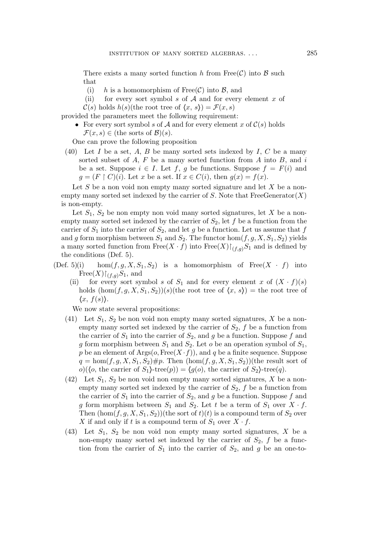There exists a many sorted function h from  $Free(\mathcal{C})$  into  $\mathcal{B}$  such that

- (i) h is a homomorphism of Free $(\mathcal{C})$  into  $\mathcal{B}$ , and
- (ii) for every sort symbol s of *A* and for every element x of  $\mathcal{C}(s)$  holds  $h(s)$ (the root tree of  $\langle x, s \rangle = \mathcal{F}(x, s)$ )
- provided the parameters meet the following requirement:
	- For every sort symbol s of  $A$  and for every element x of  $C(s)$  holds  $\mathcal{F}(x,s) \in$  (the sorts of  $\mathcal{B}(s)$ ).

One can prove the following proposition

(40) Let I be a set, A, B be many sorted sets indexed by I, C be a many sorted subset of  $A$ ,  $F$  be a many sorted function from  $A$  into  $B$ , and  $i$ be a set. Suppose  $i \in I$ . Let f, g be functions. Suppose  $f = F(i)$  and  $g = (F \restriction C)(i)$ . Let x be a set. If  $x \in C(i)$ , then  $g(x) = f(x)$ .

Let S be a non void non empty many sorted signature and let X be a nonempty many sorted set indexed by the carrier of S. Note that  $FreeGenerator(X)$ is non-empty.

Let  $S_1$ ,  $S_2$  be non empty non void many sorted signatures, let X be a nonempty many sorted set indexed by the carrier of  $S_2$ , let f be a function from the carrier of  $S_1$  into the carrier of  $S_2$ , and let g be a function. Let us assume that f and g form morphism between  $S_1$  and  $S_2$ . The functor  $hom(f,g,X,S_1,S_2)$  yields a many sorted function from Free $(X \cdot f)$  into Free $(X) \upharpoonright_{(f,g)} S_1$  and is defined by the conditions (Def. 5).

- (Def. 5)(i) hom $(f, g, X, S_1, S_2)$  is a homomorphism of Free $(X \cdot f)$  into  $Free(X)\upharpoonright_{(f,q)}S_1$ , and
	- (ii) for every sort symbol s of  $S_1$  and for every element x of  $(X \cdot f)(s)$ holds  $(\text{hom}(f,g,X,S_1,S_2))(s)$ (the root tree of  $\langle x, s \rangle$ ) = the root tree of  $\langle x, f(s) \rangle$ .

We now state several propositions:

- (41) Let  $S_1$ ,  $S_2$  be non void non empty many sorted signatures, X be a nonempty many sorted set indexed by the carrier of  $S_2$ , f be a function from the carrier of  $S_1$  into the carrier of  $S_2$ , and g be a function. Suppose f and g form morphism between  $S_1$  and  $S_2$ . Let  $o$  be an operation symbol of  $S_1$ , p be an element of  $\text{Args}(o, \text{Free}(X \cdot f))$ , and q be a finite sequence. Suppose  $q = \hom(f, g, X, S_1, S_2) \# p$ . Then  $(\hom(f, g, X, S_1, S_2))$  (the result sort of  $o)(\langle o, \text{ the carrier of } S_1 \rangle \text{-tree}(p)) = \langle g(o), \text{ the carrier of } S_2 \rangle \text{-tree}(q).$
- (42) Let  $S_1$ ,  $S_2$  be non void non empty many sorted signatures, X be a nonempty many sorted set indexed by the carrier of  $S_2$ ,  $f$  be a function from the carrier of  $S_1$  into the carrier of  $S_2$ , and q be a function. Suppose f and g form morphism between  $S_1$  and  $S_2$ . Let t be a term of  $S_1$  over  $X \cdot f$ . Then  $(\text{hom}(f,g,X,S_1,S_2))$  (the sort of  $t)(t)$  is a compound term of  $S_2$  over X if and only if t is a compound term of  $S_1$  over  $X \cdot f$ .
- (43) Let  $S_1$ ,  $S_2$  be non void non empty many sorted signatures, X be a non-empty many sorted set indexed by the carrier of  $S_2$ , f be a function from the carrier of  $S_1$  into the carrier of  $S_2$ , and g be an one-to-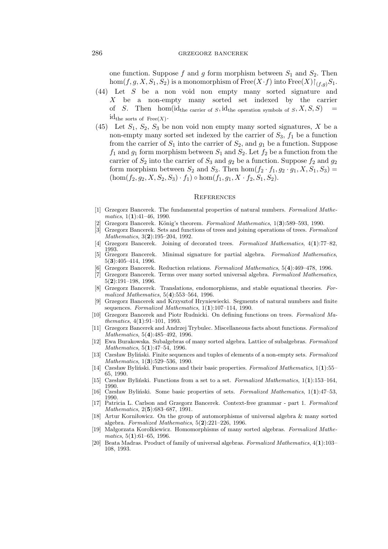## 286 grzegorz bancerek

one function. Suppose f and g form morphism between  $S_1$  and  $S_2$ . Then hom $(f,g,X,S_1,S_2)$  is a monomorphism of Free $(X \cdot f)$  into Free $(X) \upharpoonright_{(f,q)} S_1$ .

- (44) Let S be a non void non empty many sorted signature and X be a non-empty many sorted set indexed by the carrier of S. Then hom(id<sub>the carrier of S</sub>, id<sub>the operation symbols of  $S, X, S, S$ )</sub>  $id_{the\,\,sorts\,\,of\,\,Free(X)}$ .
- (45) Let  $S_1$ ,  $S_2$ ,  $S_3$  be non void non empty many sorted signatures, X be a non-empty many sorted set indexed by the carrier of  $S_3$ ,  $f_1$  be a function from the carrier of  $S_1$  into the carrier of  $S_2$ , and  $g_1$  be a function. Suppose  $f_1$  and  $g_1$  form morphism between  $S_1$  and  $S_2$ . Let  $f_2$  be a function from the carrier of  $S_2$  into the carrier of  $S_3$  and  $g_2$  be a function. Suppose  $f_2$  and  $g_2$ form morphism between  $S_2$  and  $S_3$ . Then hom $(f_2 \cdot f_1, g_2 \cdot g_1, X, S_1, S_3)$  $(\text{hom}(f_2,g_2,X,S_2,S_3)\cdot f_1)\circ \text{hom}(f_1,g_1,X\cdot f_2,S_1,S_2).$

#### **REFERENCES**

- [1] Grzegorz Bancerek. The fundamental properties of natural numbers. *Formalized Mathematics*, 1(**1**):41–46, 1990.
- [2] Grzegorz Bancerek. K¨onig's theorem. *Formalized Mathematics*, 1(**3**):589–593, 1990.
- [3] Grzegorz Bancerek. Sets and functions of trees and joining operations of trees. *Formalized Mathematics*, 3(**2**):195–204, 1992.
- [4] Grzegorz Bancerek. Joining of decorated trees. *Formalized Mathematics*, 4(**1**):77–82, 1993.<br>[5] Grzegorz Bancerek.
- [5] Grzegorz Bancerek. Minimal signature for partial algebra. *Formalized Mathematics*, 5(**3**):405–414, 1996.
- [6] Grzegorz Bancerek. Reduction relations. *Formalized Mathematics*, 5(**4**):469–478, 1996.
- [7] Grzegorz Bancerek. Terms over many sorted universal algebra. *Formalized Mathematics*, 5(**2**):191–198, 1996.
- [8] Grzegorz Bancerek. Translations, endomorphisms, and stable equational theories. *Formalized Mathematics*, 5(**4**):553–564, 1996.
- [9] Grzegorz Bancerek and Krzysztof Hryniewiecki. Segments of natural numbers and finite sequences. *Formalized Mathematics*, 1(**1**):107–114, 1990.
- [10] Grzegorz Bancerek and Piotr Rudnicki. On defining functions on trees. *Formalized Mathematics*, 4(**1**):91–101, 1993.
- [11] Grzegorz Bancerek and Andrzej Trybulec. Miscellaneous facts about functions. *Formalized Mathematics*, 5(**4**):485–492, 1996.
- [12] Ewa Burakowska. Subalgebras of many sorted algebra. Lattice of subalgebras. *Formalized Mathematics*, 5(**1**):47–54, 1996.
- [13] Czesław Byliński. Finite sequences and tuples of elements of a non-empty sets. *Formalized Mathematics*, 1(**3**):529–536, 1990.
- [14] Czesław Byliński. Functions and their basic properties. *Formalized Mathematics*, 1(**1**):55– 65, 1990.
- [15] Czesław Byliński. Functions from a set to a set. *Formalized Mathematics*, 1(**1**):153–164, 1990.
- [16] Czesław Byliński. Some basic properties of sets. *Formalized Mathematics*, 1(**1**):47–53, 1990.
- [17] Patricia L. Carlson and Grzegorz Bancerek. Context-free grammar part 1. *Formalized Mathematics*, 2(**5**):683–687, 1991.
- [18] Artur Korniłowicz. On the group of automorphisms of universal algebra & many sorted algebra. *Formalized Mathematics*, 5(**2**):221–226, 1996.
- [19] Małgorzata Korolkiewicz. Homomorphisms of many sorted algebras. *Formalized Mathematics*, 5(**1**):61–65, 1996.
- [20] Beata Madras. Product of family of universal algebras. *Formalized Mathematics*, 4(**1**):103– 108, 1993.